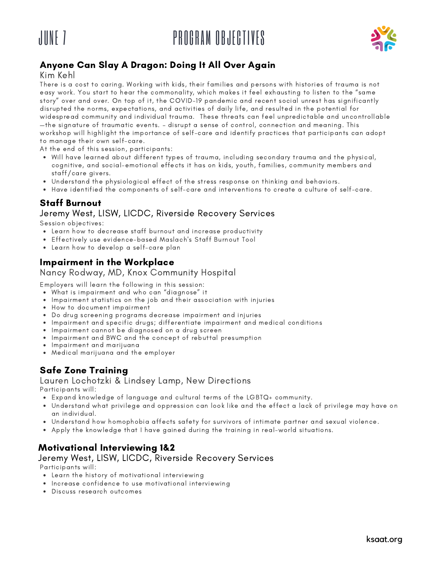# JUNE 7 PROGRAM OBJECTIVES





### Anyone Can Slay A Dragon: Doing It All Over Again

Kim Kehl

There is a cost to caring. Working with kids, their families and persons with histories of trauma is not easy work. You start to hear the commonality, which makes it feel exhausting to listen to the "same story" over and over. On top of it, the COVID-19 pandemic and recent social unrest has significantly disrupted the norms, expectations, and activities of daily life, and resulted in the potential for widespread community and individual trauma. These threats can feel unpredictable and uncontrollable —the signature of traumatic events. – disrupt a sense of control, connection and meaning. This workshop will highlight the importance of self-care and identify practices that participants can adopt to manage their own self-care.

At the end of this session, participants:

- Will have learned about different types of trauma, including secondary trauma and the physical, cognitive, and social-emotional effects it has on kids, youth, families, community members and staff/care givers.
- Understand the physiological effect of the stress response on thinking and behaviors.
- Have identified the components of self-care and interventions to create a culture of self-care.

### Staff Burnout

#### Jeremy West, LISW, LICDC, Riverside Recovery Services

Session objectives:

- Learn how to decrease staff burnout and increase productivity
- Effectively use evidence-based Maslach's Staff Burnout Tool
- Learn how to develop a self-care plan

### Impairment in the Workplace

#### Nancy Rodway, MD, Knox Community Hospital

Employers will learn the following in this session:

What is impairment and who can "diagnose" it

- Impairment statistics on the job and their association with injuries
- How to document impairment
- Do drug screening programs decrease impairment and injuries
- Impairment and specific drugs; differentiate impairment and medical conditions
- Impairment cannot be diagnosed on a drug screen
- Impairment and BWC and the concept of rebuttal presumption
- Impairment and marijuana
- Medical marijuana and the employer

#### Safe Zone Training

Lauren Lochotzki & Lindsey Lamp, New Directions Participants will:

- Expand knowledge of language and cultural terms of the LGBTQ+ community.
- Understand what privilege and oppression can look like and the effect a lack of privilege may have on an individual.
- Understand how homophobia affects safety for survivors of intimate partner and sexual violence.
- Apply the knowledge that I have gained during the training in real-world situations.

#### Motivational Interviewing 1&2

#### Jeremy West, LISW, LICDC, Riverside Recovery Services

Participants will:

- Learn the history of motivational interviewing
- Increase confidence to use motivational interviewing
- Discuss research outcomes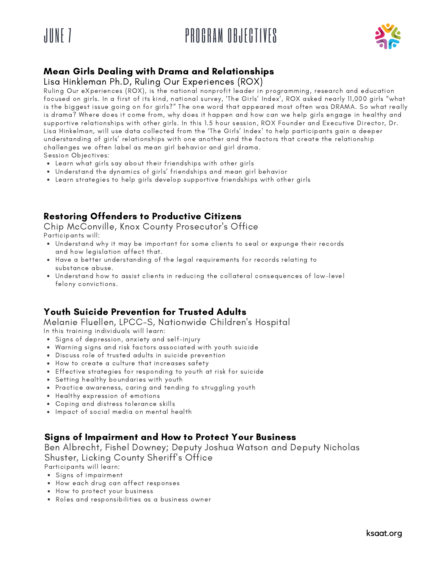

# JUNE 7 PROGRAM OBJECTIVES



### Mean Girls Dealing with Drama and Relationships

#### Lisa Hinkleman Ph.D, Ruling Our Experiences (ROX)

Ruling Our eXperiences (ROX), is the national nonprofit leader in programming, research and education focused on girls. In a first of its kind, national survey, 'The Girls' Index', ROX asked nearly 11,000 girls "what is the biggest issue going on for girls?" The one word that appeared most often was DRAMA. So what really is drama? Where does it come from, why does it happen and how can we help girls engage in healthy and supportive relationships with other girls. In this 1.5 hour session, ROX Founder and Executive Director, Dr. Lisa Hinkelman, will use data collected from the 'The Girls' Index' to help participants gain a deeper understanding of girls' relationships with one another and the factors that create the relationship challenges we often label as mean girl behavior and girl drama. Session Objectives:

- Learn what girls say about their friendships with other girls
- Understand the dynamics of girls' friendships and mean girl behavior
- Learn strategies to help girls develop supportive friendships with other girls

### Restoring Offenders to Productive Citizens

Chip McConville, Knox County Prosecutor's Office Participants will:

- Understand why it may be important for some clients to seal or expunge their records and how legislation affect that.
- Have a better understanding of the legal requirements for records relating to substance abuse.
- Understand how to assist clients in reducing the collateral consequences of low-level felony convictions.

# Youth Suicide Prevention for Trusted Adults

Melanie Fluellen, LPCC-S, Nationwide Children's Hospital In this training individuals will learn:

- Signs of depression, anxiety and self-injury
- Warning signs and risk factors associated with youth suicide
- Discuss role of trusted adults in suicide prevention
- How to create a culture that increases safety
- Effective strategies for responding to youth at risk for suicide
- Setting healthy boundaries with youth
- Practice awareness, caring and tending to struggling youth
- Healthy expression of emotions
- Coping and distress tolerance skills
- Impact of social media on mental health

#### Signs of Impairment and How to Protect Your Business

Ben Albrecht, Fishel Downey; Deputy Joshua Watson and Deputy Nicholas Shuster, Licking County Sheriff's Office

Participants will learn:

- Signs of impairment
- How each drug can affect responses
- How to protect your business
- Roles and responsibilities as a business owner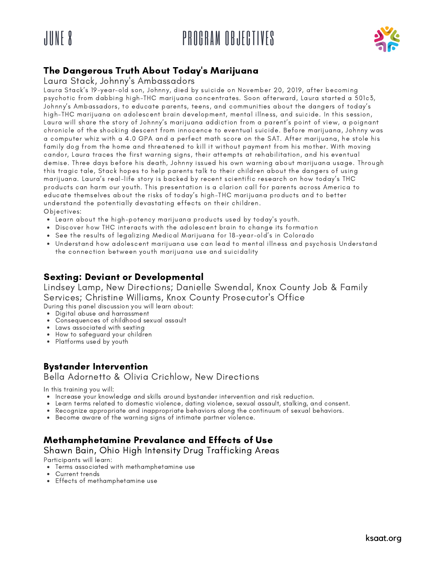# JUNE 8 PROGRAM OBJECTIVES



# The Dangerous Truth About Today's Marijuana

#### Laura Stack, Johnny's Ambassadors

Laura Stack's 19-year-old son, Johnny, died by suicide on November 20, 2019, after becoming psychotic from dabbing high-THC marijuana concentrates. Soon afterward, Laura started a 501c3, Johnny's Ambassadors, to educate parents, teens, and communities about the dangers of today's high-THC marijuana on adolescent brain development, mental illness, and suicide. In this session, Laura will share the story of Johnny's marijuana addiction from a parent's point of view, a poignant chronicle of the shocking descent from innocence to eventual suicide. Before marijuana, Johnny was a computer whiz with a 4.0 GPA and a perfect math score on the SAT. After marijuana, he stole his family dog from the home and threatened to kill it without payment from his mother. With moving candor, Laura traces the first warning signs, their attempts at rehabilitation, and his eventual demise. Three days before his death, Johnny issued his own warning about marijuana usage. Through this tragic tale, Stack hopes to help parents talk to their children about the dangers of using marijuana. Laura's real-life story is backed by recent scientific research on how today's THC products can harm our youth. This presentation is a clarion call for parents across America to educate themselves about the risks of today's high-THC marijuana products and to better understand the potentially devastating effects on their children. Objectives:

- Learn about the high-potency marijuana products used by today's youth.
- Discover how THC interacts with the adolescent brain to change its formation
- See the results of legalizing Medical Marijuana for 18-year-old's in Colorado
- Understand how adolescent marijuana use can lead to mental illness and psychosis Understand the connection between youth marijuana use and suicidality

#### Sexting: Deviant or Developmental

Lindsey Lamp, New Directions; Danielle Swendal, Knox County Job & Family Services; Christine Williams, Knox County Prosecutor's Office

During this panel discussion you will learn about:

- Digital abuse and harrassment
- Consequences of childhood sexual assault
- Laws associated with sexting
- How to safeguard your children • Platforms used by youth

# Bystander Intervention

Bella Adornetto & Olivia Crichlow, New Directions

In this training you will:

- Increase your knowledge and skills around bystander intervention and risk reduction.
- Learn terms related to domestic violence, dating violence, sexual assault, stalking, and consent.
- Recognize appropriate and inappropriate behaviors along the continuum of sexual behaviors.
- Become aware of the warning signs of intimate partner violence.

# Methamphetamine Prevalance and Effects of Use

Shawn Bain, Ohio High Intensity Drug Trafficking Areas

Participants will learn:

- Terms associated with methamphetamine use
- $\bullet$ Current trends
- Effects of methamphetamine use